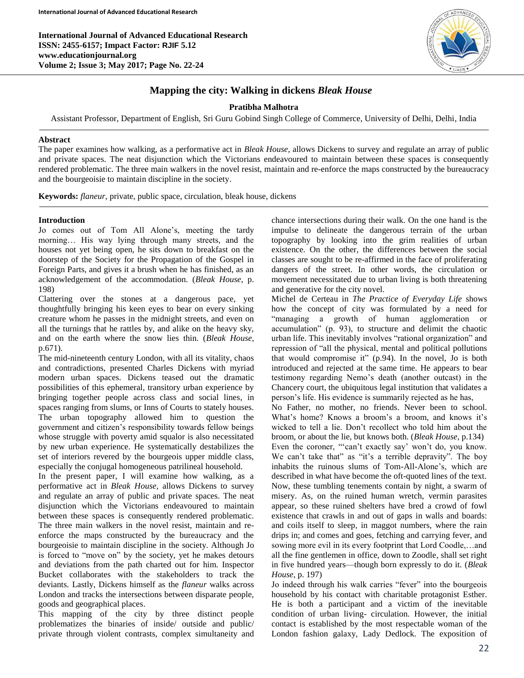**International Journal of Advanced Educational Research ISSN: 2455-6157; Impact Factor: RJIF 5.12 www.educationjournal.org Volume 2; Issue 3; May 2017; Page No. 22-24**



# **Mapping the city: Walking in dickens** *Bleak House*

## **Pratibha Malhotra**

Assistant Professor, Department of English, Sri Guru Gobind Singh College of Commerce, University of Delhi, Delhi, India

### **Abstract**

The paper examines how walking, as a performative act in *Bleak House,* allows Dickens to survey and regulate an array of public and private spaces. The neat disjunction which the Victorians endeavoured to maintain between these spaces is consequently rendered problematic. The three main walkers in the novel resist, maintain and re-enforce the maps constructed by the bureaucracy and the bourgeoisie to maintain discipline in the society.

**Keywords:** *flaneur*, private, public space, circulation, bleak house, dickens

#### **Introduction**

Ī

Jo comes out of Tom All Alone's, meeting the tardy morning… His way lying through many streets, and the houses not yet being open, he sits down to breakfast on the doorstep of the Society for the Propagation of the Gospel in Foreign Parts, and gives it a brush when he has finished, as an acknowledgement of the accommodation. (*Bleak House*, p. 198)

Clattering over the stones at a dangerous pace, yet thoughtfully bringing his keen eyes to bear on every sinking creature whom he passes in the midnight streets, and even on all the turnings that he rattles by, and alike on the heavy sky, and on the earth where the snow lies thin. (*Bleak House*, p.671).

The mid-nineteenth century London, with all its vitality, chaos and contradictions, presented Charles Dickens with myriad modern urban spaces. Dickens teased out the dramatic possibilities of this ephemeral, transitory urban experience by bringing together people across class and social lines, in spaces ranging from slums, or Inns of Courts to stately houses. The urban topography allowed him to question the government and citizen's responsibility towards fellow beings whose struggle with poverty amid squalor is also necessitated by new urban experience. He systematically destabilizes the set of interiors revered by the bourgeois upper middle class, especially the conjugal homogeneous patrilineal household.

In the present paper, I will examine how walking, as a performative act in *Bleak House,* allows Dickens to survey and regulate an array of public and private spaces. The neat disjunction which the Victorians endeavoured to maintain between these spaces is consequently rendered problematic. The three main walkers in the novel resist, maintain and reenforce the maps constructed by the bureaucracy and the bourgeoisie to maintain discipline in the society. Although Jo is forced to "move on" by the society, yet he makes detours and deviations from the path charted out for him. Inspector Bucket collaborates with the stakeholders to track the deviants. Lastly, Dickens himself as the *flaneur* walks across London and tracks the intersections between disparate people, goods and geographical places.

This mapping of the city by three distinct people problematizes the binaries of inside/ outside and public/ private through violent contrasts, complex simultaneity and chance intersections during their walk. On the one hand is the impulse to delineate the dangerous terrain of the urban topography by looking into the grim realities of urban existence. On the other, the differences between the social classes are sought to be re-affirmed in the face of proliferating dangers of the street. In other words, the circulation or movement necessitated due to urban living is both threatening and generative for the city novel.

Michel de Certeau in *The Practice of Everyday Life* shows how the concept of city was formulated by a need for "managing a growth of human agglomeration or accumulation" (p. 93), to structure and delimit the chaotic urban life. This inevitably involves "rational organization" and repression of "all the physical, mental and political pollutions that would compromise it" (p.94). In the novel, Jo is both introduced and rejected at the same time. He appears to bear testimony regarding Nemo's death (another outcast) in the Chancery court, the ubiquitous legal institution that validates a person's life. His evidence is summarily rejected as he has,

No Father, no mother, no friends. Never been to school. What's home? Knows a broom's a broom, and knows it's wicked to tell a lie. Don't recollect who told him about the broom, or about the lie, but knows both. (*Bleak House*, p.134) Even the coroner, "'can't exactly say' won't do, you know. We can't take that" as "it's a terrible depravity". The boy inhabits the ruinous slums of Tom-All-Alone's, which are described in what have become the oft-quoted lines of the text. Now, these tumbling tenements contain by night, a swarm of misery. As, on the ruined human wretch, vermin parasites appear, so these ruined shelters have bred a crowd of fowl existence that crawls in and out of gaps in walls and boards: and coils itself to sleep, in maggot numbers, where the rain drips in; and comes and goes, fetching and carrying fever, and sowing more evil in its every footprint that Lord Coodle,…and all the fine gentlemen in office, down to Zoodle, shall set right in five hundred years—though born expressly to do it. (*Bleak House*, p. 197)

Jo indeed through his walk carries "fever" into the bourgeois household by his contact with charitable protagonist Esther. He is both a participant and a victim of the inevitable condition of urban living- circulation. However, the initial contact is established by the most respectable woman of the London fashion galaxy, Lady Dedlock. The exposition of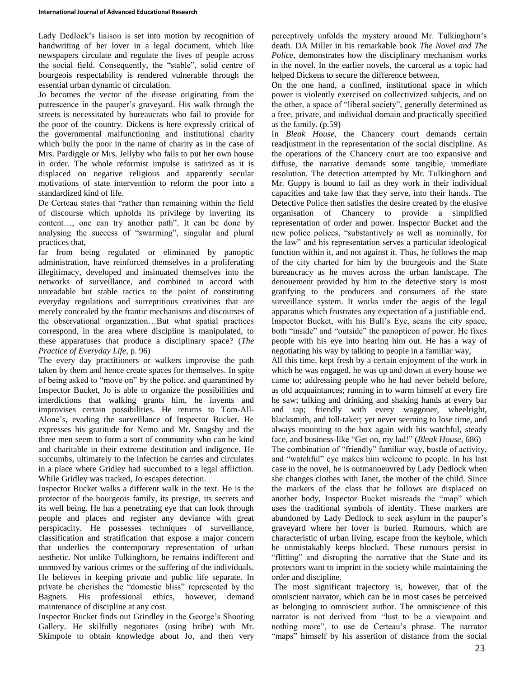Lady Dedlock's liaison is set into motion by recognition of handwriting of her lover in a legal document, which like newspapers circulate and regulate the lives of people across the social field. Consequently, the "stable", solid centre of bourgeois respectability is rendered vulnerable through the essential urban dynamic of circulation.

Jo becomes the vector of the disease originating from the putrescence in the pauper's graveyard. His walk through the streets is necessitated by bureaucrats who fail to provide for the poor of the country. Dickens is here expressly critical of the governmental malfunctioning and institutional charity which bully the poor in the name of charity as in the case of Mrs. Pardiggle or Mrs. Jellyby who fails to put her own house in order. The whole reformist impulse is satirized as it is displaced on negative religious and apparently secular motivations of state intervention to reform the poor into a standardized kind of life.

De Certeau states that "rather than remaining within the field of discourse which upholds its privilege by inverting its content…, one can try another path". It can be done by analysing the success of "swarming", singular and plural practices that,

far from being regulated or eliminated by panoptic administration, have reinforced themselves in a proliferating illegitimacy, developed and insinuated themselves into the networks of surveillance, and combined in accord with unreadable but stable tactics to the point of constituting everyday regulations and surreptitious creativities that are merely concealed by the frantic mechanisms and discourses of the observational organization…But what spatial practices correspond, in the area where discipline is manipulated, to these apparatuses that produce a disciplinary space? (*The Practice of Everyday Life*, p. 96)

The every day practitioners or walkers improvise the path taken by them and hence create spaces for themselves. In spite of being asked to "move on" by the police, and quarantined by Inspector Bucket, Jo is able to organize the possibilities and interdictions that walking grants him, he invents and improvises certain possibilities. He returns to Tom-All-Alone's, evading the surveillance of Inspector Bucket. He expresses his gratitude for Nemo and Mr. Snagsby and the three men seem to form a sort of community who can be kind and charitable in their extreme destitution and indigence. He succumbs, ultimately to the infection he carries and circulates in a place where Gridley had succumbed to a legal affliction. While Gridley was tracked, Jo escapes detection.

Inspector Bucket walks a different walk in the text. He is the protector of the bourgeois family, its prestige, its secrets and its well being. He has a penetrating eye that can look through people and places and register any deviance with great perspicacity. He possesses techniques of surveillance, classification and stratification that expose a major concern that underlies the contemporary representation of urban aesthetic. Not unlike Tulkinghorn, he remains indifferent and unmoved by various crimes or the suffering of the individuals. He believes in keeping private and public life separate. In private he cherishes the "domestic bliss" represented by the Bagnets. His professional ethics, however, demand maintenance of discipline at any cost.

Inspector Bucket finds out Grindley in the George's Shooting Gallery. He skilfully negotiates (using bribe) with Mr. Skimpole to obtain knowledge about Jo, and then very perceptively unfolds the mystery around Mr. Tulkinghorn's death. DA Miller in his remarkable book *The Novel and The Police,* demonstrates how the disciplinary mechanism works in the novel. In the earlier novels, the carceral as a topic had helped Dickens to secure the difference between,

On the one hand, a confined, institutional space in which power is violently exercised on collectivized subjects, and on the other, a space of "liberal society", generally determined as a free, private, and individual domain and practically specified as the family. (p.59)

In *Bleak House*, the Chancery court demands certain readjustment in the representation of the social discipline. As the operations of the Chancery court are too expansive and diffuse, the narrative demands some tangible, immediate resolution. The detection attempted by Mr. Tulkinghorn and Mr. Guppy is bound to fail as they work in their individual capacities and take law that they serve, into their hands. The Detective Police then satisfies the desire created by the elusive organisation of Chancery to provide a simplified representation of order and power. Inspector Bucket and the new police polices, "substantively as well as nominally, for the law" and his representation serves a particular ideological function within it, and not against it. Thus, he follows the map of the city charted for him by the bourgeois and the State bureaucracy as he moves across the urban landscape. The denouement provided by him to the detective story is most gratifying to the producers and consumers of the state surveillance system. It works under the aegis of the legal apparatus which frustrates any expectation of a justifiable end. Inspector Bucket, with his Bull's Eye, scans the city space, both "inside" and "outside" the panopticon of power. He fixes people with his eye into hearing him out. He has a way of negotiating his way by talking to people in a familiar way,

All this time, kept fresh by a certain enjoyment of the work in which he was engaged, he was up and down at every house we came to; addressing people who he had never beheld before, as old acquaintances; running in to warm himself at every fire he saw; talking and drinking and shaking hands at every bar and tap; friendly with every waggoner, wheelright, blacksmith, and toll-taker; yet never seeming to lose time, and always mounting to the box again with his watchful, steady face, and business-like "Get on, my lad!" (*Bleak House*, 686)

The combination of "friendly" familiar way, bustle of activity, and "watchful" eye makes him welcome to people. In his last case in the novel, he is outmanoeuvred by Lady Dedlock when she changes clothes with Janet, the mother of the child. Since the markers of the class that he follows are displaced on another body, Inspector Bucket misreads the "map" which uses the traditional symbols of identity. These markers are abandoned by Lady Dedlock to seek asylum in the pauper's graveyard where her lover is buried. Rumours, which are characteristic of urban living, escape from the keyhole, which he unmistakably keeps blocked. These rumours persist in "flitting" and disrupting the narrative that the State and its protectors want to imprint in the society while maintaining the order and discipline.

The most significant trajectory is, however, that of the omniscient narrator, which can be in most cases be perceived as belonging to omniscient author. The omniscience of this narrator is not derived from "lust to be a viewpoint and nothing more", to use de Certeau's phrase. The narrator "maps" himself by his assertion of distance from the social